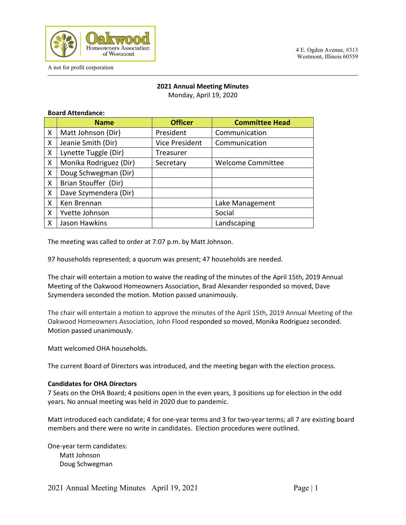

# **2021 Annual Meeting Minutes**

Monday, April 19, 2020

# **Board Attendance:**

|   | <b>Name</b>            | <b>Officer</b>        | <b>Committee Head</b>    |
|---|------------------------|-----------------------|--------------------------|
| X | Matt Johnson (Dir)     | President             | Communication            |
| X | Jeanie Smith (Dir)     | <b>Vice President</b> | Communication            |
| X | Lynette Tuggle (Dir)   | Treasurer             |                          |
| X | Monika Rodriguez (Dir) | Secretary             | <b>Welcome Committee</b> |
| X | Doug Schwegman (Dir)   |                       |                          |
| X | Brian Stouffer (Dir)   |                       |                          |
| X | Dave Szymendera (Dir)  |                       |                          |
| X | Ken Brennan            |                       | Lake Management          |
| X | Yvette Johnson         |                       | Social                   |
| Χ | Jason Hawkins          |                       | Landscaping              |

The meeting was called to order at 7:07 p.m. by Matt Johnson.

97 households represented; a quorum was present; 47 households are needed.

The chair will entertain a motion to waive the reading of the minutes of the April 15th, 2019 Annual Meeting of the Oakwood Homeowners Association, Brad Alexander responded so moved, Dave Szymendera seconded the motion. Motion passed unanimously.

The chair will entertain a motion to approve the minutes of the April 15th, 2019 Annual Meeting of the Oakwood Homeowners Association, John Flood responded so moved, Monika Rodriguez seconded. Motion passed unanimously.

Matt welcomed OHA households.

The current Board of Directors was introduced, and the meeting began with the election process.

## **Candidates for OHA Directors**

7 Seats on the OHA Board; 4 positions open in the even years, 3 positions up for election in the odd years. No annual meeting was held in 2020 due to pandemic.

Matt introduced each candidate; 4 for one-year terms and 3 for two-year terms; all 7 are existing board members and there were no write in candidates. Election procedures were outlined.

One-year term candidates: Matt Johnson Doug Schwegman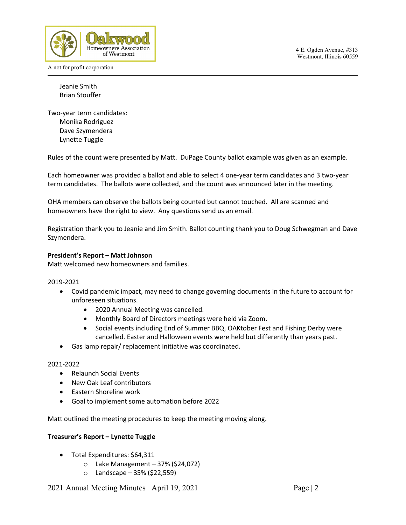

Jeanie Smith Brian Stouffer

Two-year term candidates: Monika Rodriguez Dave Szymendera Lynette Tuggle

Rules of the count were presented by Matt. DuPage County ballot example was given as an example.

Each homeowner was provided a ballot and able to select 4 one-year term candidates and 3 two-year term candidates. The ballots were collected, and the count was announced later in the meeting.

OHA members can observe the ballots being counted but cannot touched. All are scanned and homeowners have the right to view. Any questions send us an email.

Registration thank you to Jeanie and Jim Smith. Ballot counting thank you to Doug Schwegman and Dave Szymendera.

## **President's Report – Matt Johnson**

Matt welcomed new homeowners and families.

## 2019-2021

- Covid pandemic impact, may need to change governing documents in the future to account for unforeseen situations.
	- 2020 Annual Meeting was cancelled.
	- Monthly Board of Directors meetings were held via Zoom.
	- Social events including End of Summer BBQ, OAKtober Fest and Fishing Derby were cancelled. Easter and Halloween events were held but differently than years past.
- Gas lamp repair/ replacement initiative was coordinated.

## 2021-2022

- Relaunch Social Events
- New Oak Leaf contributors
- Eastern Shoreline work
- Goal to implement some automation before 2022

Matt outlined the meeting procedures to keep the meeting moving along.

## **Treasurer's Report – Lynette Tuggle**

- Total Expenditures: \$64,311
	- $\circ$  Lake Management 37% (\$24,072)
	- o Landscape 35% (\$22,559)

2021 Annual Meeting Minutes April 19, 2021 Page | 2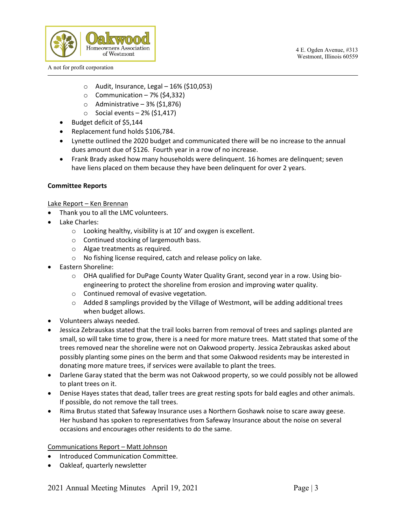

- $\circ$  Audit, Insurance, Legal 16% (\$10,053)
- $\circ$  Communication 7% (\$4,332)
- $\circ$  Administrative 3% (\$1,876)
- $\circ$  Social events 2% (\$1,417)
- Budget deficit of \$5,144
- Replacement fund holds \$106,784.
- Lynette outlined the 2020 budget and communicated there will be no increase to the annual dues amount due of \$126. Fourth year in a row of no increase.
- Frank Brady asked how many households were delinquent. 16 homes are delinquent; seven have liens placed on them because they have been delinquent for over 2 years.

# **Committee Reports**

# Lake Report – Ken Brennan

- Thank you to all the LMC volunteers.
- Lake Charles:
	- o Looking healthy, visibility is at 10' and oxygen is excellent.
	- o Continued stocking of largemouth bass.
	- o Algae treatments as required.
	- o No fishing license required, catch and release policy on lake.
- Eastern Shoreline:
	- o OHA qualified for DuPage County Water Quality Grant, second year in a row. Using bioengineering to protect the shoreline from erosion and improving water quality.
	- o Continued removal of evasive vegetation.
	- $\circ$  Added 8 samplings provided by the Village of Westmont, will be adding additional trees when budget allows.
- Volunteers always needed.
- Jessica Zebrauskas stated that the trail looks barren from removal of trees and saplings planted are small, so will take time to grow, there is a need for more mature trees. Matt stated that some of the trees removed near the shoreline were not on Oakwood property. Jessica Zebrauskas asked about possibly planting some pines on the berm and that some Oakwood residents may be interested in donating more mature trees, if services were available to plant the trees.
- Darlene Garay stated that the berm was not Oakwood property, so we could possibly not be allowed to plant trees on it.
- Denise Hayes states that dead, taller trees are great resting spots for bald eagles and other animals. If possible, do not remove the tall trees.
- Rima Brutus stated that Safeway Insurance uses a Northern Goshawk noise to scare away geese. Her husband has spoken to representatives from Safeway Insurance about the noise on several occasions and encourages other residents to do the same.

Communications Report – Matt Johnson

- Introduced Communication Committee.
- Oakleaf, quarterly newsletter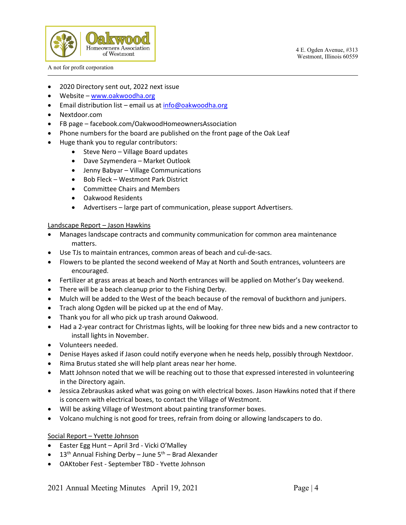



- 2020 Directory sent out, 2022 next issue
- Website  [www.oakwoodha.org](http://www.oakwoodha.org/)
- Email distribution list email us at [info@oakwoodha.org](mailto:info@oakwoodha.org)
- Nextdoor.com
- FB page facebook.com/OakwoodHomeownersAssociation
- Phone numbers for the board are published on the front page of the Oak Leaf
- Huge thank you to regular contributors:
	- Steve Nero Village Board updates
	- Dave Szymendera Market Outlook
	- Jenny Babyar Village Communications
	- Bob Fleck Westmont Park District
	- Committee Chairs and Members
	- Oakwood Residents
	- Advertisers large part of communication, please support Advertisers.

## Landscape Report – Jason Hawkins

- Manages landscape contracts and community communication for common area maintenance matters.
- Use TJs to maintain entrances, common areas of beach and cul-de-sacs.
- Flowers to be planted the second weekend of May at North and South entrances, volunteers are encouraged.
- Fertilizer at grass areas at beach and North entrances will be applied on Mother's Day weekend.
- There will be a beach cleanup prior to the Fishing Derby.
- Mulch will be added to the West of the beach because of the removal of buckthorn and junipers.
- Trach along Ogden will be picked up at the end of May.
- Thank you for all who pick up trash around Oakwood.
- Had a 2-year contract for Christmas lights, will be looking for three new bids and a new contractor to install lights in November.
- Volunteers needed.
- Denise Hayes asked if Jason could notify everyone when he needs help, possibly through Nextdoor.
- Rima Brutus stated she will help plant areas near her home.
- Matt Johnson noted that we will be reaching out to those that expressed interested in volunteering in the Directory again.
- Jessica Zebrauskas asked what was going on with electrical boxes. Jason Hawkins noted that if there is concern with electrical boxes, to contact the Village of Westmont.
- Will be asking Village of Westmont about painting transformer boxes.
- Volcano mulching is not good for trees, refrain from doing or allowing landscapers to do.

# Social Report – Yvette Johnson

- Easter Egg Hunt April 3rd Vicki O'Malley
- $13<sup>th</sup>$  Annual Fishing Derby June  $5<sup>th</sup>$  Brad Alexander
- OAKtober Fest September TBD Yvette Johnson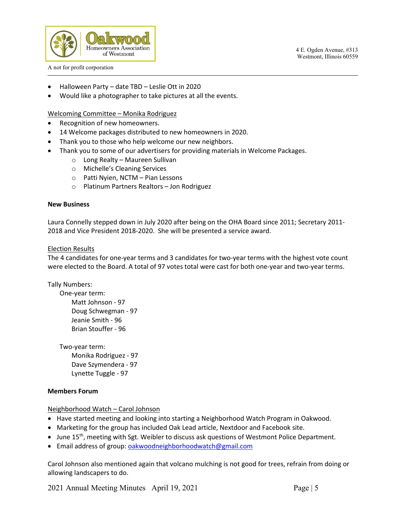

- Halloween Party date TBD Leslie Ott in 2020
- Would like a photographer to take pictures at all the events.

# Welcoming Committee – Monika Rodriguez

- Recognition of new homeowners.
- 14 Welcome packages distributed to new homeowners in 2020.
- Thank you to those who help welcome our new neighbors.
- Thank you to some of our advertisers for providing materials in Welcome Packages.
	- o Long Realty Maureen Sullivan
	- o Michelle's Cleaning Services
	- o Patti Nyien, NCTM Pian Lessons
	- o Platinum Partners Realtors Jon Rodriguez

# **New Business**

Laura Connelly stepped down in July 2020 after being on the OHA Board since 2011; Secretary 2011- 2018 and Vice President 2018-2020. She will be presented a service award.

# Election Results

The 4 candidates for one-year terms and 3 candidates for two-year terms with the highest vote count were elected to the Board. A total of 97 votes total were cast for both one-year and two-year terms.

Tally Numbers:

 One-year term: Matt Johnson - 97 Doug Schwegman - 97 Jeanie Smith - 96 Brian Stouffer - 96

Two-year term: Monika Rodriguez - 97 Dave Szymendera - 97 Lynette Tuggle - 97

# **Members Forum**

Neighborhood Watch – Carol Johnson

- Have started meeting and looking into starting a Neighborhood Watch Program in Oakwood.
- Marketing for the group has included Oak Lead article, Nextdoor and Facebook site.
- June 15<sup>th</sup>, meeting with Sgt. Weibler to discuss ask questions of Westmont Police Department.
- Email address of group: [oakwoodneighborhoodwatch@gmail.com](mailto:oakwoodneighborhoodwatch@gmail.com)

Carol Johnson also mentioned again that volcano mulching is not good for trees, refrain from doing or allowing landscapers to do.

2021 Annual Meeting Minutes April 19, 2021 Page | 5